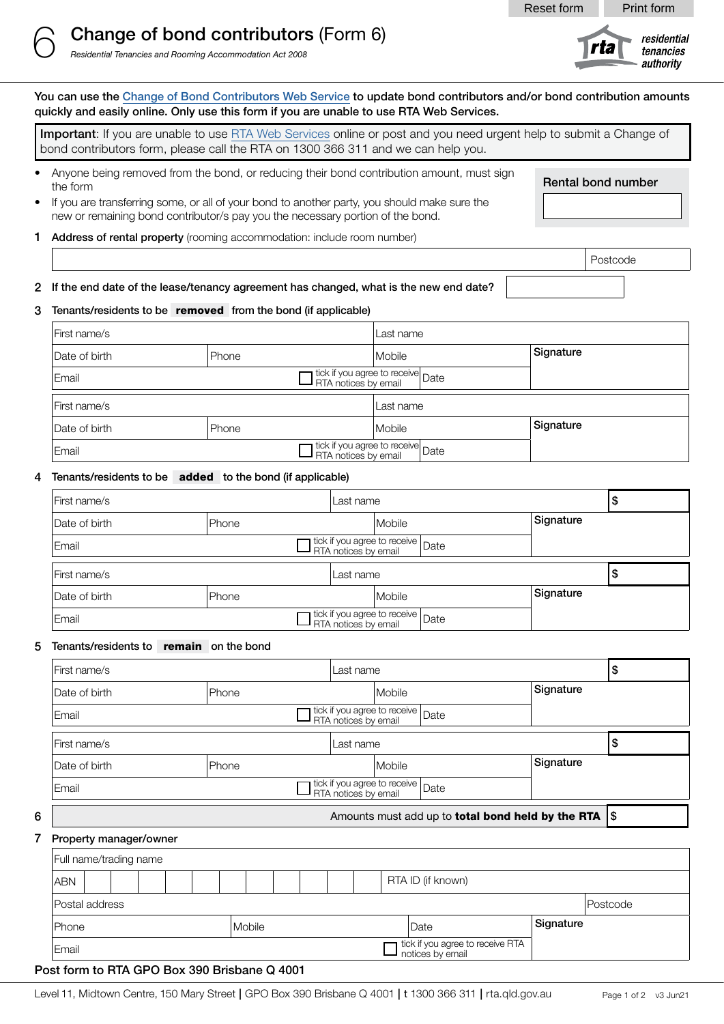# 6 Change of bond contributors (Form 6)

*Residential Tenancies and Rooming Accommodation Act 2008*

You can use the Change of Bond [Contributors](https://www.rta.qld.gov.au/online-change-of-bond-contributors) Web Service to update bond contributors and/or bond contribution amounts quickly and easily online. Only use this form if you are unable to use RTA Web Services.

Important: If you are unable to us[e RTA Web Services](http://www.rta.qld.gov.au/webservices) online or post and you need urgent help to submit a Change of bond contributors form, please call the RTA on 1300 366 311 and we can help you.

• Anyone being removed from the bond, or reducing their bond contribution amount, must sign the form

• If you are transferring some, or all of your bond to another party, you should make sure the

Rental bond number

Postcode

- new or remaining bond contributor/s pay you the necessary portion of the bond.
- 1 Address of rental property (rooming accommodation: include room number)
- 2 If the end date of the lease/tenancy agreement has changed, what is the new end date?

#### 3 Tenants/residents to be removed from the bond (if applicable)

| First name/s                                   |       | Last name                         |           |
|------------------------------------------------|-------|-----------------------------------|-----------|
| Date of birth                                  | Phone | Mobile                            | Signature |
| The tick if you agree to receive Date<br>Email |       |                                   |           |
| First name/s                                   |       | Last name                         |           |
| Date of birth                                  | Phone | Mobile                            | Signature |
| Email                                          |       | Tick if you agree to receive Date |           |

#### 4 Tenants/residents to be added to the bond (if applicable)

| First name/s                                                   |       | Last name |                                   |  | \$        |   |
|----------------------------------------------------------------|-------|-----------|-----------------------------------|--|-----------|---|
| Date of birth                                                  | Phone |           | Mobile                            |  | Signature |   |
| stick if you agree to receive<br>RTA notices by email<br>Email |       |           |                                   |  |           |   |
| First name/s                                                   |       |           | Last name                         |  |           | ข |
| Date of birth                                                  | Phone |           | Mobile                            |  | Signature |   |
| Email                                                          |       |           | Tick if you agree to receive Date |  |           |   |

#### 5 Tenants/residents to remain on the bond

|   | First name/s                                          |                   | Last name                                                    |        |                                                      | \$        |           |  |
|---|-------------------------------------------------------|-------------------|--------------------------------------------------------------|--------|------------------------------------------------------|-----------|-----------|--|
|   | Date of birth                                         | Phone             |                                                              | Mobile |                                                      | Signature |           |  |
|   | Email                                                 |                   |                                                              |        |                                                      |           |           |  |
|   | First name/s                                          | Last name         |                                                              |        |                                                      | \$        |           |  |
|   | Date of birth                                         | Phone             |                                                              |        | Mobile                                               |           | Signature |  |
|   | Email                                                 |                   | tick if you agree to receive<br>RTA notices by email<br>Date |        |                                                      |           |           |  |
| 6 | Amounts must add up to total bond held by the RTA \\$ |                   |                                                              |        |                                                      |           |           |  |
|   | Property manager/owner                                |                   |                                                              |        |                                                      |           |           |  |
|   | Full name/trading name                                |                   |                                                              |        |                                                      |           |           |  |
|   | <b>ABN</b>                                            | RTA ID (if known) |                                                              |        |                                                      |           |           |  |
|   | Postal address                                        |                   |                                                              |        |                                                      | Postcode  |           |  |
|   | Mobile<br>Phone                                       |                   |                                                              |        | Date                                                 | Signature |           |  |
|   | Email                                                 |                   |                                                              |        | tick if you agree to receive RTA<br>notices by email |           |           |  |

#### Post form to RTA GPO Box 390 Brisbane Q 4001